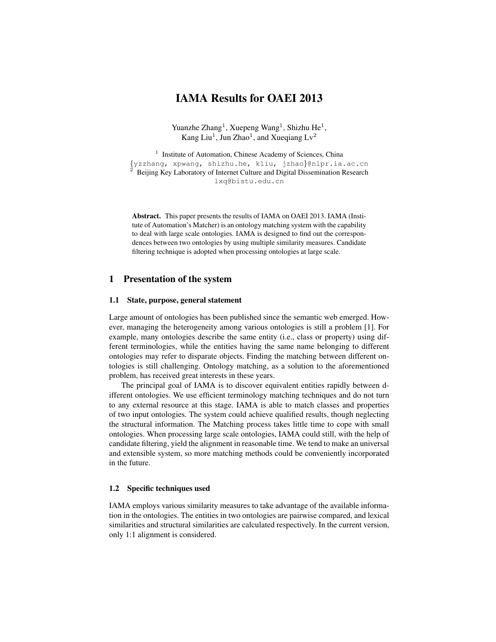# IAMA Results for OAEI 2013

Yuanzhe Zhang<sup>1</sup>, Xuepeng Wang<sup>1</sup>, Shizhu He<sup>1</sup>, Kang Liu<sup>1</sup>, Jun Zhao<sup>1</sup>, and Xueqiang  $Lv^2$ 

<sup>1</sup> Institute of Automation, Chinese Academy of Sciences, China {yzzhang, xpwang, shizhu.he, kliu, jzhao}@nlpr.ia.ac.cn <sup>2</sup> Beijing Key Laboratory of Internet Culture and Digital Dissemination Research lxq@bistu.edu.cn

Abstract. This paper presents the results of IAMA on OAEI 2013. IAMA (Institute of Automation's Matcher) is an ontology matching system with the capability to deal with large scale ontologies. IAMA is designed to find out the correspondences between two ontologies by using multiple similarity measures. Candidate filtering technique is adopted when processing ontologies at large scale.

## 1 Presentation of the system

#### 1.1 State, purpose, general statement

Large amount of ontologies has been published since the semantic web emerged. However, managing the heterogeneity among various ontologies is still a problem [1]. For example, many ontologies describe the same entity (i.e., class or property) using different terminologies, while the entities having the same name belonging to different ontologies may refer to disparate objects. Finding the matching between different ontologies is still challenging. Ontology matching, as a solution to the aforementioned problem, has received great interests in these years.

The principal goal of IAMA is to discover equivalent entities rapidly between different ontologies. We use efficient terminology matching techniques and do not turn to any external resource at this stage. IAMA is able to match classes and properties of two input ontologies. The system could achieve qualified results, though neglecting the structural information. The Matching process takes little time to cope with small ontologies. When processing large scale ontologies, IAMA could still, with the help of candidate filtering, yield the alignment in reasonable time. We tend to make an universal and extensible system, so more matching methods could be conveniently incorporated in the future.

## 1.2 Specific techniques used

IAMA employs various similarity measures to take advantage of the available information in the ontologies. The entities in two ontologies are pairwise compared, and lexical similarities and structural similarities are calculated respectively. In the current version, only 1:1 alignment is considered.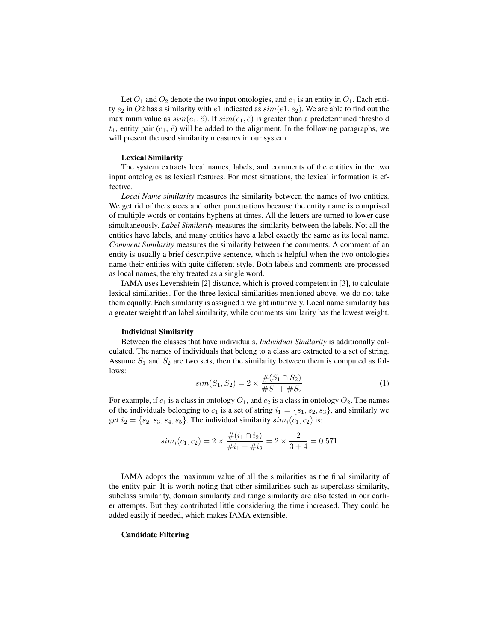Let  $O_1$  and  $O_2$  denote the two input ontologies, and  $e_1$  is an entity in  $O_1$ . Each entity  $e_2$  in O2 has a similarity with  $e_1$  indicated as  $sim(e_1, e_2)$ . We are able to find out the maximum value as  $sim(e_1, \hat{e})$ . If  $sim(e_1, \hat{e})$  is greater than a predetermined threshold  $t_1$ , entity pair  $(e_1, \hat{e})$  will be added to the alignment. In the following paragraphs, we will present the used similarity measures in our system.

#### Lexical Similarity

The system extracts local names, labels, and comments of the entities in the two input ontologies as lexical features. For most situations, the lexical information is effective.

*Local Name similarity* measures the similarity between the names of two entities. We get rid of the spaces and other punctuations because the entity name is comprised of multiple words or contains hyphens at times. All the letters are turned to lower case simultaneously. *Label Similarity* measures the similarity between the labels. Not all the entities have labels, and many entities have a label exactly the same as its local name. *Comment Similarity* measures the similarity between the comments. A comment of an entity is usually a brief descriptive sentence, which is helpful when the two ontologies name their entities with quite different style. Both labels and comments are processed as local names, thereby treated as a single word.

IAMA uses Levenshtein [2] distance, which is proved competent in [3], to calculate lexical similarities. For the three lexical similarities mentioned above, we do not take them equally. Each similarity is assigned a weight intuitively. Local name similarity has a greater weight than label similarity, while comments similarity has the lowest weight.

#### Individual Similarity

Between the classes that have individuals, *Individual Similarity* is additionally calculated. The names of individuals that belong to a class are extracted to a set of string. Assume  $S_1$  and  $S_2$  are two sets, then the similarity between them is computed as follows:

$$
sim(S_1, S_2) = 2 \times \frac{\#(S_1 \cap S_2)}{\#S_1 + \#S_2}
$$
 (1)

For example, if  $c_1$  is a class in ontology  $O_1$ , and  $c_2$  is a class in ontology  $O_2$ . The names of the individuals belonging to  $c_1$  is a set of string  $i_1 = \{s_1, s_2, s_3\}$ , and similarly we get  $i_2 = \{s_2, s_3, s_4, s_5\}$ . The individual similarity  $sim_i(c_1, c_2)$  is:

$$
sim_i(c_1, c_2) = 2 \times \frac{\#(i_1 \cap i_2)}{\#i_1 + \#i_2} = 2 \times \frac{2}{3+4} = 0.571
$$

IAMA adopts the maximum value of all the similarities as the final similarity of the entity pair. It is worth noting that other similarities such as superclass similarity, subclass similarity, domain similarity and range similarity are also tested in our earlier attempts. But they contributed little considering the time increased. They could be added easily if needed, which makes IAMA extensible.

#### Candidate Filtering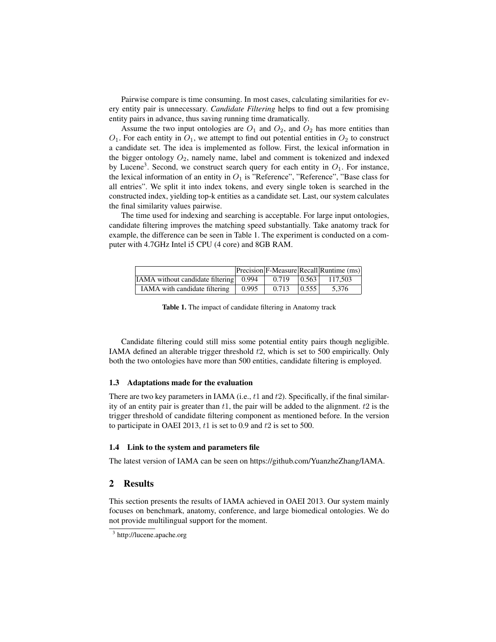Pairwise compare is time consuming. In most cases, calculating similarities for every entity pair is unnecessary. *Candidate Filtering* helps to find out a few promising entity pairs in advance, thus saving running time dramatically.

Assume the two input ontologies are  $O_1$  and  $O_2$ , and  $O_2$  has more entities than  $O_1$ . For each entity in  $O_1$ , we attempt to find out potential entities in  $O_2$  to construct a candidate set. The idea is implemented as follow. First, the lexical information in the bigger ontology  $O_2$ , namely name, label and comment is tokenized and indexed by Lucene<sup>3</sup>. Second, we construct search query for each entity in  $O_1$ . For instance, the lexical information of an entity in  $O_1$  is "Reference", "Reference", "Base class for all entries". We split it into index tokens, and every single token is searched in the constructed index, yielding top-k entities as a candidate set. Last, our system calculates the final similarity values pairwise.

The time used for indexing and searching is acceptable. For large input ontologies, candidate filtering improves the matching speed substantially. Take anatomy track for example, the difference can be seen in Table 1. The experiment is conducted on a computer with 4.7GHz Intel i5 CPU (4 core) and 8GB RAM.

|                                               |       |       |       | Precision F-Measure Recall Runtime (ms) |
|-----------------------------------------------|-------|-------|-------|-----------------------------------------|
| <b>IAMA</b> without candidate filtering 0.994 |       | 0.719 | 0.563 | 117.503                                 |
| IAMA with candidate filtering                 | 0.995 | 0.713 | 0.555 | 5.376                                   |

Table 1. The impact of candidate filtering in Anatomy track

Candidate filtering could still miss some potential entity pairs though negligible. IAMA defined an alterable trigger threshold t2, which is set to 500 empirically. Only both the two ontologies have more than 500 entities, candidate filtering is employed.

#### 1.3 Adaptations made for the evaluation

There are two key parameters in IAMA (i.e.,  $t1$  and  $t2$ ). Specifically, if the final similarity of an entity pair is greater than  $t1$ , the pair will be added to the alignment.  $t2$  is the trigger threshold of candidate filtering component as mentioned before. In the version to participate in OAEI 2013,  $t1$  is set to 0.9 and  $t2$  is set to 500.

#### 1.4 Link to the system and parameters file

The latest version of IAMA can be seen on https://github.com/YuanzheZhang/IAMA.

## 2 Results

This section presents the results of IAMA achieved in OAEI 2013. Our system mainly focuses on benchmark, anatomy, conference, and large biomedical ontologies. We do not provide multilingual support for the moment.

<sup>&</sup>lt;sup>3</sup> http://lucene.apache.org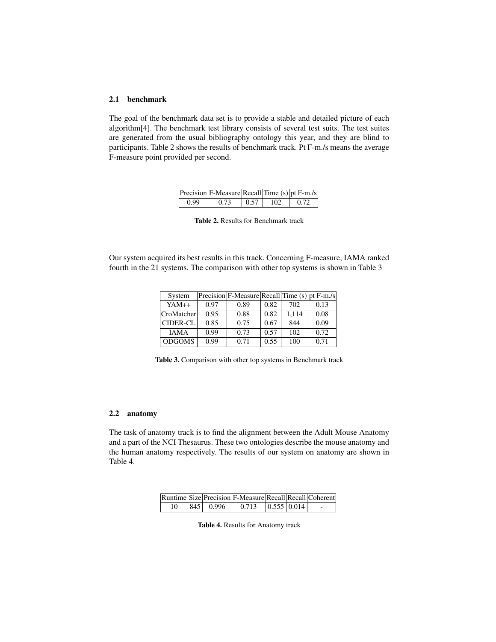## 2.1 benchmark

The goal of the benchmark data set is to provide a stable and detailed picture of each algorithm[4]. The benchmark test library consists of several test suits. The test suites are generated from the usual bibliography ontology this year, and they are blind to participants. Table 2 shows the results of benchmark track. Pt F-m./s means the average F-measure point provided per second.

|      | Precision $F$ -Measure Recall Time (s) pt $F$ -m./s |            |     |      |
|------|-----------------------------------------------------|------------|-----|------|
| 0.99 | 0.73                                                | $\pm 0.57$ | 102 | 0.72 |

Table 2. Results for Benchmark track

Our system acquired its best results in this track. Concerning F-measure, IAMA ranked fourth in the 21 systems. The comparison with other top systems is shown in Table 3

| System          |      | Precision F-Measure Recall Time (s) pt F-m./s |      |       |      |
|-----------------|------|-----------------------------------------------|------|-------|------|
| $YAM++$         | 0.97 | 0.89                                          | 0.82 | 702   | 0.13 |
| CroMatcher      | 0.95 | 0.88                                          | 0.82 | 1.114 | 0.08 |
| <b>CIDER-CL</b> | 0.85 | 0.75                                          | 0.67 | 844   | 0.09 |
| <b>IAMA</b>     | 0.99 | 0.73                                          | 0.57 | 102   | 0.72 |
| <b>ODGOMS</b>   | 0.99 | 0.71                                          | 0.55 | 100   | 0.71 |

Table 3. Comparison with other top systems in Benchmark track

## 2.2 anatomy

The task of anatomy track is to find the alignment between the Adult Mouse Anatomy and a part of the NCI Thesaurus. These two ontologies describe the mouse anatomy and the human anatomy respectively. The results of our system on anatomy are shown in Table 4.

|    |               | Runtime Size Precision F-Measure Recall Recall Coherent |                                 |  |
|----|---------------|---------------------------------------------------------|---------------------------------|--|
| 10 | $ 845 $ 0.996 | 0.713                                                   | $\vert 0.555 \vert 0.014 \vert$ |  |

Table 4. Results for Anatomy track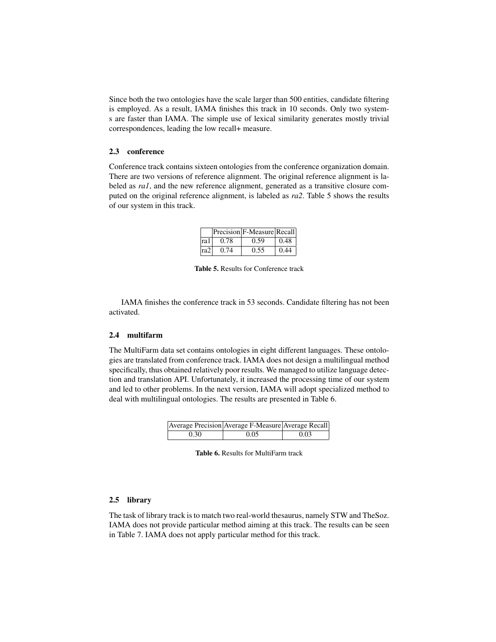Since both the two ontologies have the scale larger than 500 entities, candidate filtering is employed. As a result, IAMA finishes this track in 10 seconds. Only two systems are faster than IAMA. The simple use of lexical similarity generates mostly trivial correspondences, leading the low recall+ measure.

#### 2.3 conference

Conference track contains sixteen ontologies from the conference organization domain. There are two versions of reference alignment. The original reference alignment is labeled as *ra1*, and the new reference alignment, generated as a transitive closure computed on the original reference alignment, is labeled as *ra2*. Table 5 shows the results of our system in this track.

|                 |      | Precision F-Measure Recall |      |
|-----------------|------|----------------------------|------|
| ra 1            | 0.78 | 0.59                       | 0.48 |
| ra <sub>2</sub> | 0.74 | 0.55                       | 0.44 |

Table 5. Results for Conference track

IAMA finishes the conference track in 53 seconds. Candidate filtering has not been activated.

## 2.4 multifarm

The MultiFarm data set contains ontologies in eight different languages. These ontologies are translated from conference track. IAMA does not design a multilingual method specifically, thus obtained relatively poor results. We managed to utilize language detection and translation API. Unfortunately, it increased the processing time of our system and led to other problems. In the next version, IAMA will adopt specialized method to deal with multilingual ontologies. The results are presented in Table 6.

|      | Average Precision Average F-Measure Average Recall |      |
|------|----------------------------------------------------|------|
| 0.30 | 0.05                                               | 0.03 |

| <b>Table 6.</b> Results for MultiFarm track |
|---------------------------------------------|
|                                             |

#### 2.5 library

The task of library track is to match two real-world thesaurus, namely STW and TheSoz. IAMA does not provide particular method aiming at this track. The results can be seen in Table 7. IAMA does not apply particular method for this track.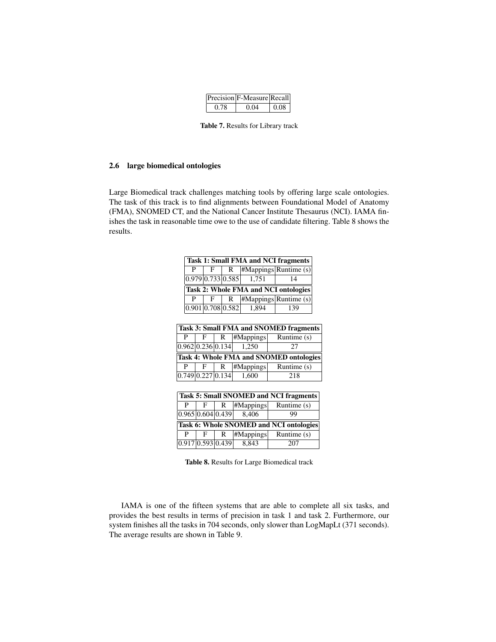|      | Precision F-Measure Recall |      |
|------|----------------------------|------|
| 0.78 | 0 Q4                       | 0.08 |

Table 7. Results for Library track

## 2.6 large biomedical ontologies

Large Biomedical track challenges matching tools by offering large scale ontologies. The task of this track is to find alignments between Foundational Model of Anatomy (FMA), SNOMED CT, and the National Cancer Institute Thesaurus (NCI). IAMA finishes the task in reasonable time owe to the use of candidate filtering. Table 8 shows the results.

|                                        | <b>Task 1: Small FMA and NCI fragments</b>     |  |   |  |                                |  |                                 |  |                                                |  |
|----------------------------------------|------------------------------------------------|--|---|--|--------------------------------|--|---------------------------------|--|------------------------------------------------|--|
|                                        | P                                              |  | F |  | R                              |  |                                 |  | #Mappings Runtime (s)                          |  |
|                                        | 0.979 0.733 0.585                              |  |   |  | 1,751                          |  | 14                              |  |                                                |  |
| Task 2: Whole FMA and NCI ontologies   |                                                |  |   |  |                                |  |                                 |  |                                                |  |
|                                        | P<br>F                                         |  | R |  |                                |  | #Mappings   RuntimeException(s) |  |                                                |  |
|                                        |                                                |  |   |  | 0.901 0.708 0.582              |  | 1,894                           |  | 139                                            |  |
|                                        |                                                |  |   |  |                                |  |                                 |  |                                                |  |
| Task 3: Small FMA and SNOMED fragments |                                                |  |   |  |                                |  |                                 |  |                                                |  |
|                                        | P                                              |  | F |  | R                              |  | #Mappings                       |  | Runtime (s)                                    |  |
|                                        |                                                |  |   |  | 0.962 0.236 0.134              |  | 1,250                           |  | 27                                             |  |
|                                        | <b>Task 4: Whole FMA and SNOMED ontologies</b> |  |   |  |                                |  |                                 |  |                                                |  |
|                                        | P                                              |  | F |  | R                              |  | #Mappings                       |  | Runtime (s)                                    |  |
|                                        |                                                |  |   |  | $\overline{0.749}$ 0.227 0.134 |  | 1,600                           |  | 218                                            |  |
|                                        |                                                |  |   |  |                                |  |                                 |  |                                                |  |
|                                        |                                                |  |   |  |                                |  |                                 |  | <b>Task 5: Small SNOMED and NCI fragments</b>  |  |
|                                        | P                                              |  | F |  | R                              |  | #Mappings                       |  | Runtime (s)                                    |  |
|                                        |                                                |  |   |  | 0.965 0.604 0.439              |  | 8,406                           |  | 99                                             |  |
|                                        |                                                |  |   |  |                                |  |                                 |  | <b>Task 6: Whole SNOMED and NCI ontologies</b> |  |
|                                        | P                                              |  | F |  | R                              |  | #Mappings                       |  | Runtime $(s)$                                  |  |
|                                        |                                                |  |   |  | 0.917 0.593 0.439              |  | 8.843                           |  | 207                                            |  |

Table 8. Results for Large Biomedical track

IAMA is one of the fifteen systems that are able to complete all six tasks, and provides the best results in terms of precision in task 1 and task 2. Furthermore, our system finishes all the tasks in 704 seconds, only slower than LogMapLt (371 seconds). The average results are shown in Table 9.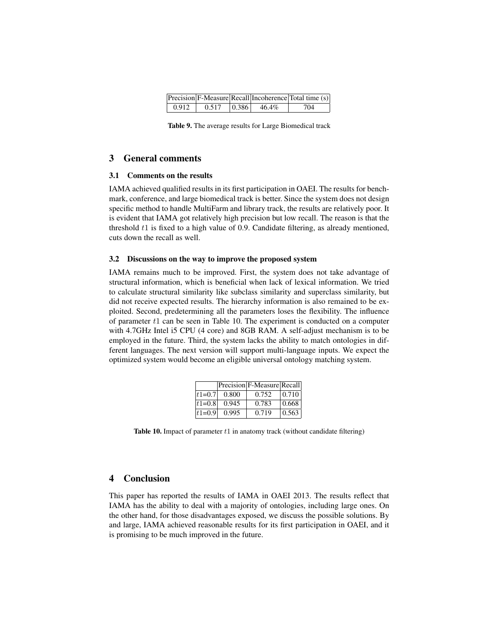|       |       |                 | Precision F-Measure Recall Incoherence Total time (s) |
|-------|-------|-----------------|-------------------------------------------------------|
| 0.912 | 0.517 | $ 0.386 $ 46.4% | 704                                                   |

Table 9. The average results for Large Biomedical track

## 3 General comments

#### 3.1 Comments on the results

IAMA achieved qualified results in its first participation in OAEI. The results for benchmark, conference, and large biomedical track is better. Since the system does not design specific method to handle MultiFarm and library track, the results are relatively poor. It is evident that IAMA got relatively high precision but low recall. The reason is that the threshold t1 is fixed to a high value of 0.9. Candidate filtering, as already mentioned, cuts down the recall as well.

#### 3.2 Discussions on the way to improve the proposed system

IAMA remains much to be improved. First, the system does not take advantage of structural information, which is beneficial when lack of lexical information. We tried to calculate structural similarity like subclass similarity and superclass similarity, but did not receive expected results. The hierarchy information is also remained to be exploited. Second, predetermining all the parameters loses the flexibility. The influence of parameter  $t_1$  can be seen in Table 10. The experiment is conducted on a computer with 4.7GHz Intel i5 CPU (4 core) and 8GB RAM. A self-adjust mechanism is to be employed in the future. Third, the system lacks the ability to match ontologies in different languages. The next version will support multi-language inputs. We expect the optimized system would become an eligible universal ontology matching system.

|            |       | Precision F-Measure Recall |       |
|------------|-------|----------------------------|-------|
| $ t1=0.7 $ | 0.800 | 0.752                      | 0.710 |
| $ t1=0.8 $ | 0.945 | 0.783                      | 0.668 |
| $ t1=0.9 $ | 0.995 | 0.719                      | 0.563 |

Table 10. Impact of parameter  $t1$  in anatomy track (without candidate filtering)

## 4 Conclusion

This paper has reported the results of IAMA in OAEI 2013. The results reflect that IAMA has the ability to deal with a majority of ontologies, including large ones. On the other hand, for those disadvantages exposed, we discuss the possible solutions. By and large, IAMA achieved reasonable results for its first participation in OAEI, and it is promising to be much improved in the future.